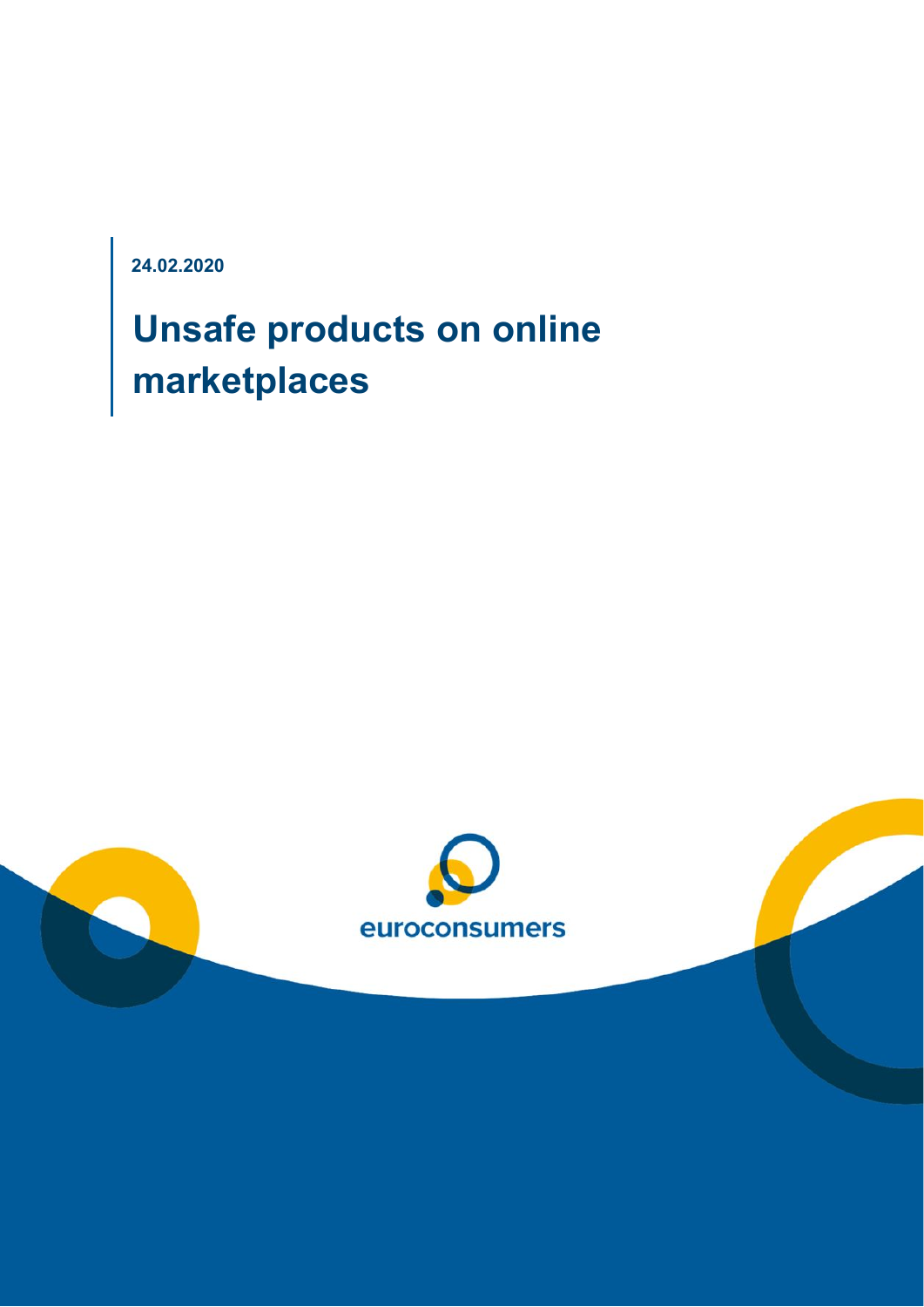**24.02.2020**

# **Unsafe products on online marketplaces**

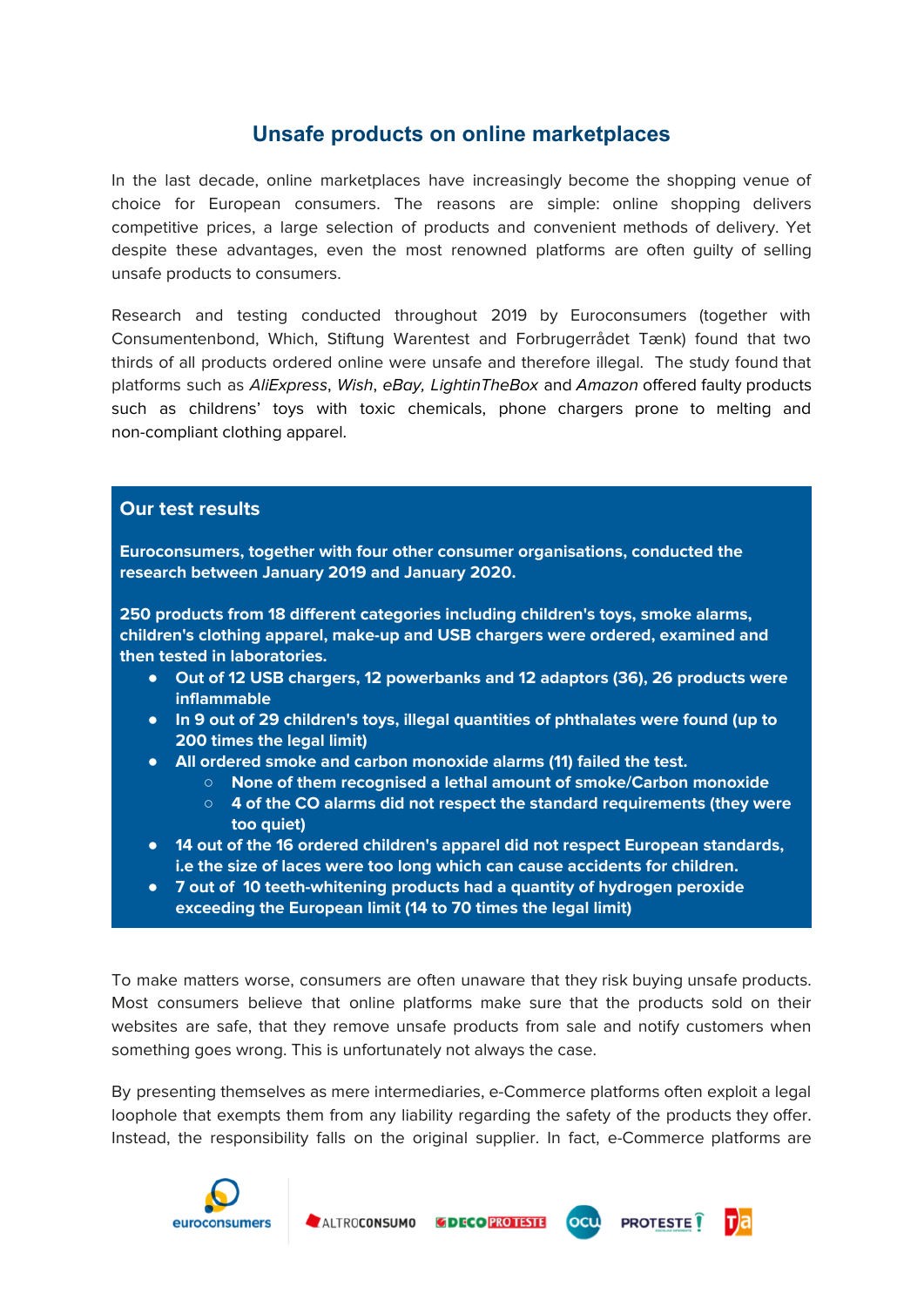## **Unsafe products on online marketplaces**

In the last decade, online marketplaces have increasingly become the shopping venue of choice for European consumers. The reasons are simple: online shopping delivers competitive prices, a large selection of products and convenient methods of delivery. Yet despite these advantages, even the most renowned platforms are often guilty of selling unsafe products to consumers.

Research and testing conducted throughout 2019 by Euroconsumers (together with Consumentenbond, Which, Stiftung Warentest and Forbrugerrådet Tænk) found that two thirds of all products ordered online were unsafe and therefore illegal. The study found that platforms such as AliExpress, Wish, eBay, LightinTheBox and Amazon offered faulty products such as childrens' toys with toxic chemicals, phone chargers prone to melting and non-compliant clothing apparel.

#### **Our test results**

**Euroconsumers, together with four other consumer organisations, conducted the research between January 2019 and January 2020.**

**250 products from 18 different categories including children's toys, smoke alarms, children's clothing apparel, make-up and USB chargers were ordered, examined and then tested in laboratories.**

- **● Out of 12 USB chargers, 12 powerbanks and 12 adaptors (36), 26 products were inflammable**
- **● In 9 out of 29 children's toys, illegal quantities of [phthalates](https://context.reverso.net/traduction/anglais-francais/phthalates) were found (up to 200 times the legal limit)**
- **● All ordered smoke and carbon monoxide alarms (11) failed the test.**
	- **○ None of them recognised a lethal amount of smoke/Carbon monoxide**
	- **○ 4 of the CO alarms did not respect the standard requirements (they were too quiet)**
- **● 14 out of the 16 ordered children's apparel did not respect European standards, i.e the size of laces were too long which can cause accidents for children.**
- **● 7 out of 10 teeth-whitening products had a quantity of hydrogen peroxide exceeding the European limit (14 to 70 times the legal limit)**

To make matters worse, consumers are often unaware that they risk buying unsafe products. Most consumers believe that online platforms make sure that the products sold on their websites are safe, that they remove unsafe products from sale and notify customers when something goes wrong. This is unfortunately not always the case.

By presenting themselves as mere intermediaries, e-Commerce platforms often exploit a legal loophole that exempts them from any liability regarding the safety of the products they offer. Instead, the responsibility falls on the original supplier. In fact, e-Commerce platforms are

**PROTESTE** 

ocu



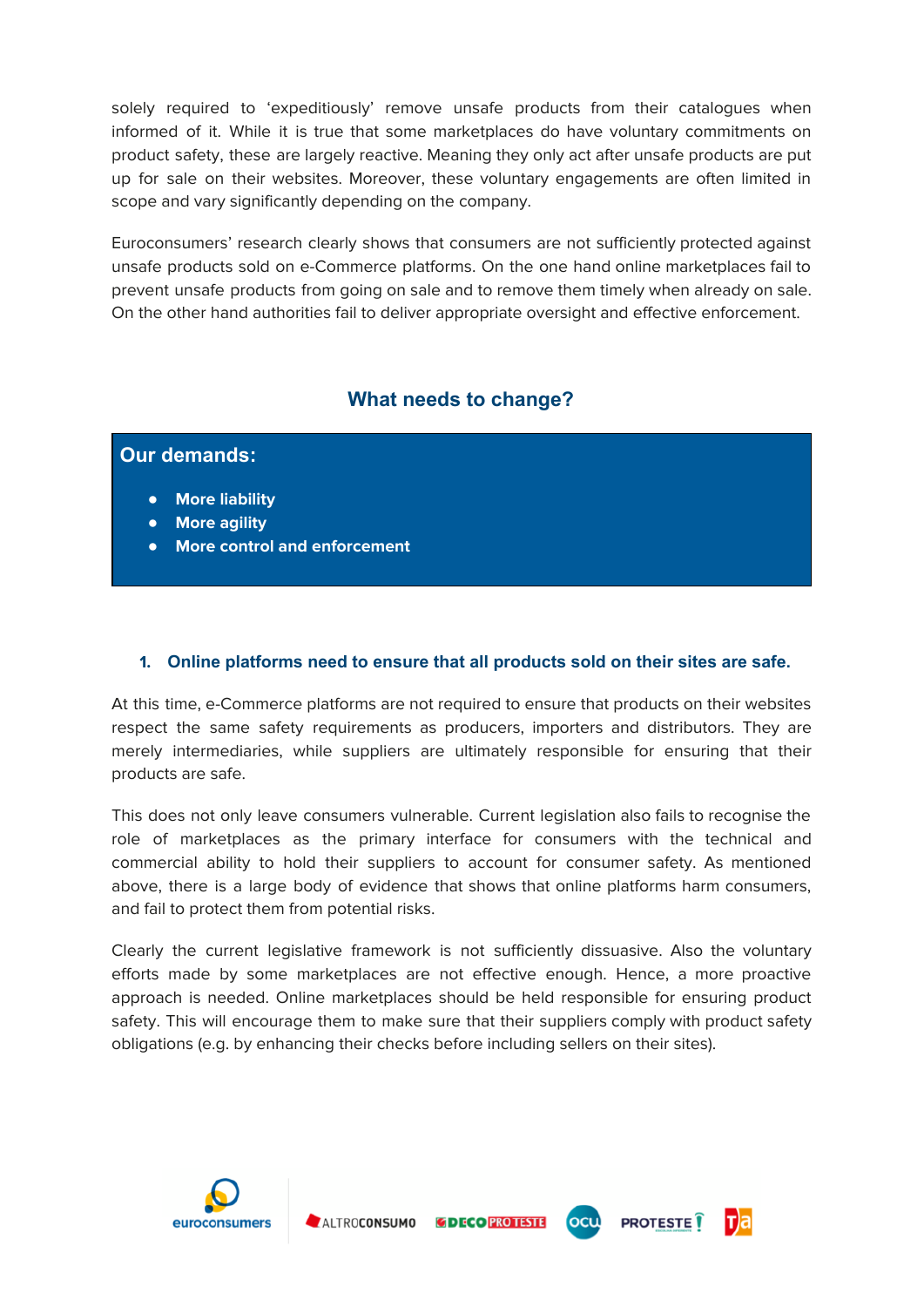solely required to 'expeditiously' remove unsafe products from their catalogues when informed of it. While it is true that some marketplaces do have voluntary commitments on product safety, these are largely reactive. Meaning they only act after unsafe products are put up for sale on their websites. Moreover, these voluntary engagements are often limited in scope and vary significantly depending on the company.

Euroconsumers' research clearly shows that consumers are not sufficiently protected against unsafe products sold on e-Commerce platforms. On the one hand online marketplaces fail to prevent unsafe products from going on sale and to remove them timely when already on sale. On the other hand authorities fail to deliver appropriate oversight and effective enforcement.

### **What needs to change?**

| <b>Our demands:</b> |                                     |  |  |
|---------------------|-------------------------------------|--|--|
| • More liability    |                                     |  |  |
| • More agility      |                                     |  |  |
| $\bullet$           | <b>More control and enforcement</b> |  |  |

#### **1. Online platforms need to ensure that all products sold on their sites are safe.**

At this time, e-Commerce platforms are not required to ensure that products on their websites respect the same safety requirements as producers, importers and distributors. They are merely intermediaries, while suppliers are ultimately responsible for ensuring that their products are safe.

This does not only leave consumers vulnerable. Current legislation also fails to recognise the role of marketplaces as the primary interface for consumers with the technical and commercial ability to hold their suppliers to account for consumer safety. As mentioned above, there is a large body of evidence that shows that online platforms harm consumers, and fail to protect them from potential risks.

Clearly the current legislative framework is not sufficiently dissuasive. Also the voluntary efforts made by some marketplaces are not effective enough. Hence, a more proactive approach is needed. Online marketplaces should be held responsible for ensuring product safety. This will encourage them to make sure that their suppliers comply with product safety obligations (e.g. by enhancing their checks before including sellers on their sites).



т)а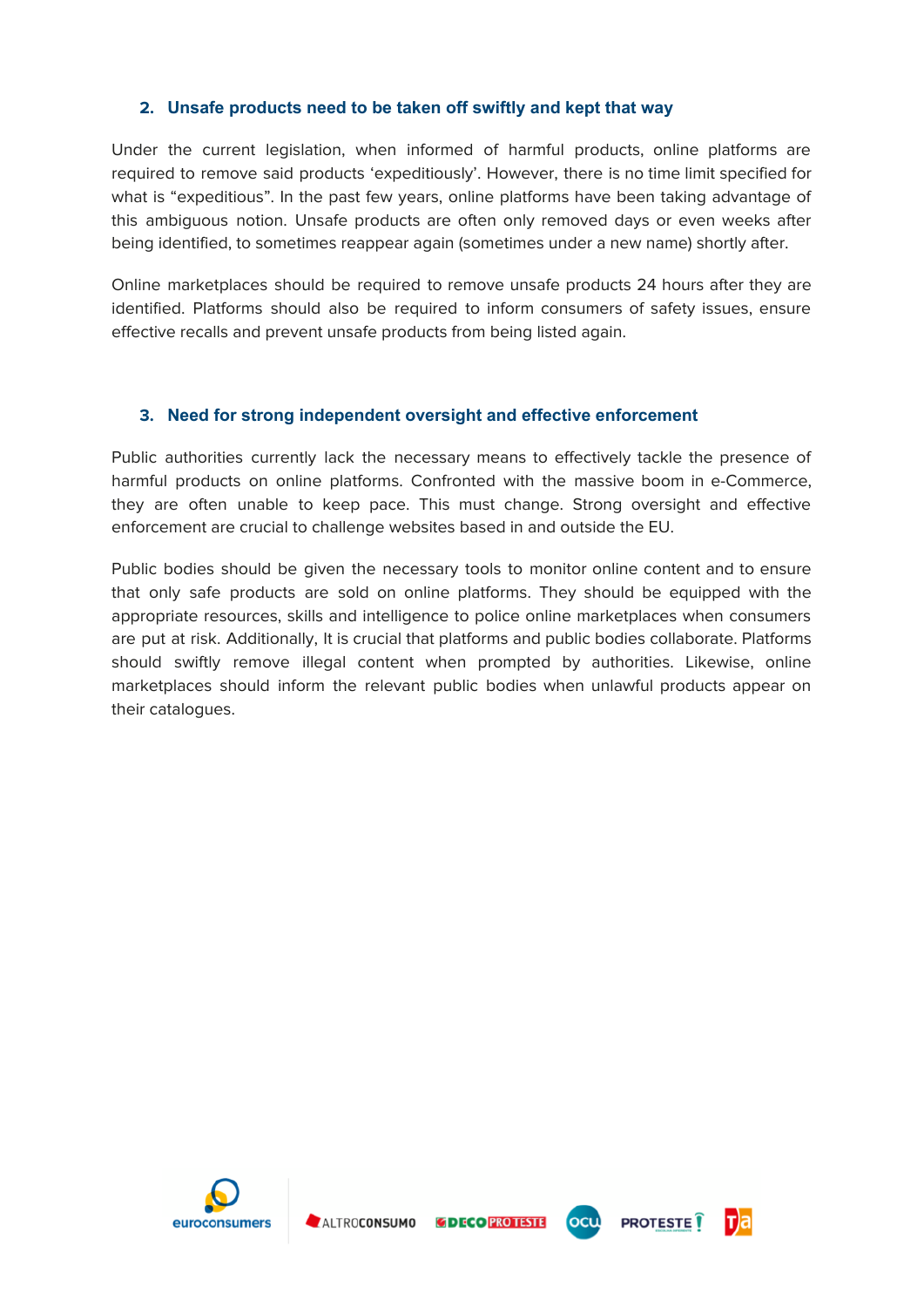#### **2. Unsafe products need to be taken off swiftly and kept that way**

Under the current legislation, when informed of harmful products, online platforms are required to remove said products 'expeditiously'. However, there is no time limit specified for what is "expeditious". In the past few years, online platforms have been taking advantage of this ambiguous notion. Unsafe products are often only removed days or even weeks after being identified, to sometimes reappear again (sometimes under a new name) shortly after.

Online marketplaces should be required to remove unsafe products 24 hours after they are identified. Platforms should also be required to inform consumers of safety issues, ensure effective recalls and prevent unsafe products from being listed again.

#### **3. Need for strong independent oversight and effective enforcement**

Public authorities currently lack the necessary means to effectively tackle the presence of harmful products on online platforms. Confronted with the massive boom in e-Commerce, they are often unable to keep pace. This must change. Strong oversight and effective enforcement are crucial to challenge websites based in and outside the EU.

Public bodies should be given the necessary tools to monitor online content and to ensure that only safe products are sold on online platforms. They should be equipped with the appropriate resources, skills and intelligence to police online marketplaces when consumers are put at risk. Additionally, It is crucial that platforms and public bodies collaborate. Platforms should swiftly remove illegal content when prompted by authorities. Likewise, online marketplaces should inform the relevant public bodies when unlawful products appear on their catalogues.





ocu



т)а